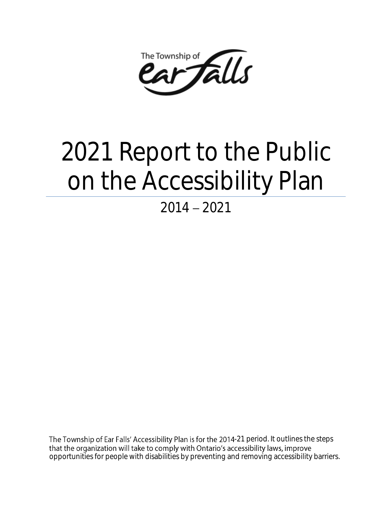Falls The Township of

# 2021 Report to the Public on the Accessibility Plan

# $2014 - 2021$

The Township of Ear Falls' Accessibility Plan is for the 2014-21 period. It outlines the steps that the organization will take to comply with Ontario's accessibility laws, improve opportunities for people with disabilities by preventing and removing accessibility barriers.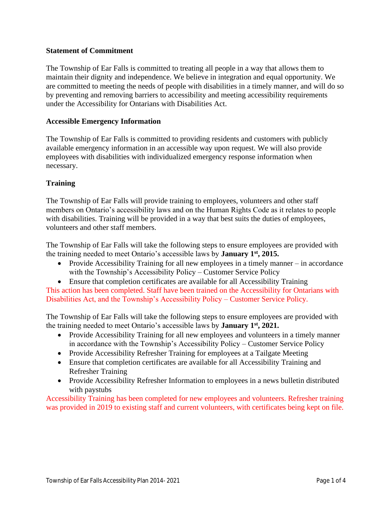#### **Statement of Commitment**

The Township of Ear Falls is committed to treating all people in a way that allows them to maintain their dignity and independence. We believe in integration and equal opportunity. We are committed to meeting the needs of people with disabilities in a timely manner, and will do so by preventing and removing barriers to accessibility and meeting accessibility requirements under the Accessibility for Ontarians with Disabilities Act.

#### **Accessible Emergency Information**

The Township of Ear Falls is committed to providing residents and customers with publicly available emergency information in an accessible way upon request. We will also provide employees with disabilities with individualized emergency response information when necessary.

#### **Training**

The Township of Ear Falls will provide training to employees, volunteers and other staff members on Ontario's accessibility laws and on the Human Rights Code as it relates to people with disabilities. Training will be provided in a way that best suits the duties of employees, volunteers and other staff members.

The Township of Ear Falls will take the following steps to ensure employees are provided with the training needed to meet Ontario's accessible laws by **January 1st, 2015.**

• Provide Accessibility Training for all new employees in a timely manner – in accordance with the Township's Accessibility Policy – Customer Service Policy

• Ensure that completion certificates are available for all Accessibility Training This action has been completed. Staff have been trained on the Accessibility for Ontarians with Disabilities Act, and the Township's Accessibility Policy – Customer Service Policy.

The Township of Ear Falls will take the following steps to ensure employees are provided with the training needed to meet Ontario's accessible laws by **January 1st, 2021.**

- Provide Accessibility Training for all new employees and volunteers in a timely manner in accordance with the Township's Accessibility Policy – Customer Service Policy
- Provide Accessibility Refresher Training for employees at a Tailgate Meeting
- Ensure that completion certificates are available for all Accessibility Training and Refresher Training
- Provide Accessibility Refresher Information to employees in a news bulletin distributed with paystubs

Accessibility Training has been completed for new employees and volunteers. Refresher training was provided in 2019 to existing staff and current volunteers, with certificates being kept on file.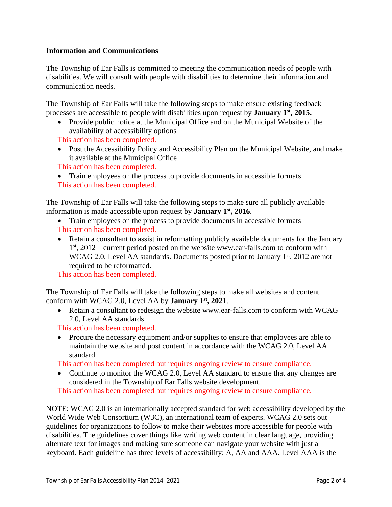#### **Information and Communications**

The Township of Ear Falls is committed to meeting the communication needs of people with disabilities. We will consult with people with disabilities to determine their information and communication needs.

The Township of Ear Falls will take the following steps to make ensure existing feedback processes are accessible to people with disabilities upon request by **January 1st, 2015.**

• Provide public notice at the Municipal Office and on the Municipal Website of the availability of accessibility options

This action has been completed.

• Post the Accessibility Policy and Accessibility Plan on the Municipal Website, and make it available at the Municipal Office

This action has been completed.

• Train employees on the process to provide documents in accessible formats This action has been completed.

The Township of Ear Falls will take the following steps to make sure all publicly available information is made accessible upon request by **January 1st, 2016**.

- Train employees on the process to provide documents in accessible formats This action has been completed.
- Retain a consultant to assist in reformatting publicly available documents for the January 1<sup>st</sup>, 2012 – current period posted on the website [www.ear-falls.com](http://www.ear-falls.com/) to conform with WCAG 2.0, Level AA standards. Documents posted prior to January  $1<sup>st</sup>$ , 2012 are not required to be reformatted.

This action has been completed.

The Township of Ear Falls will take the following steps to make all websites and content conform with WCAG 2.0, Level AA by **January 1st, 2021**.

• Retain a consultant to redesign the website [www.ear-falls.com](http://www.ear-falls.com/) to conform with WCAG 2.0, Level AA standards

This action has been completed.

• Procure the necessary equipment and/or supplies to ensure that employees are able to maintain the website and post content in accordance with the WCAG 2.0, Level AA standard

This action has been completed but requires ongoing review to ensure compliance.

• Continue to monitor the WCAG 2.0, Level AA standard to ensure that any changes are considered in the Township of Ear Falls website development.

This action has been completed but requires ongoing review to ensure compliance.

NOTE: WCAG 2.0 is an internationally accepted standard for web accessibility developed by the World Wide Web Consortium (W3C), an international team of experts. WCAG 2.0 sets out guidelines for organizations to follow to make their websites more accessible for people with disabilities. The guidelines cover things like writing web content in clear language, providing alternate text for images and making sure someone can navigate your website with just a keyboard. Each guideline has three levels of accessibility: A, AA and AAA. Level AAA is the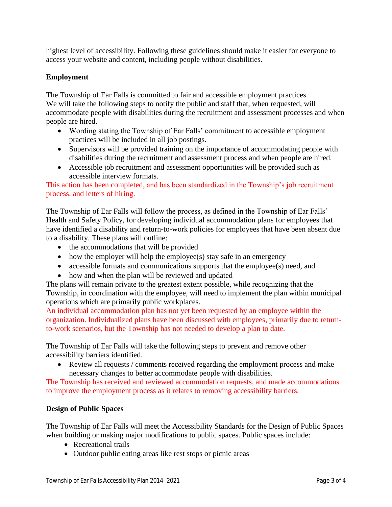highest level of accessibility. Following these guidelines should make it easier for everyone to access your website and content, including people without disabilities.

# **Employment**

The Township of Ear Falls is committed to fair and accessible employment practices. We will take the following steps to notify the public and staff that, when requested, will accommodate people with disabilities during the recruitment and assessment processes and when people are hired.

- Wording stating the Township of Ear Falls' commitment to accessible employment practices will be included in all job postings.
- Supervisors will be provided training on the importance of accommodating people with disabilities during the recruitment and assessment process and when people are hired.
- Accessible job recruitment and assessment opportunities will be provided such as accessible interview formats.

This action has been completed, and has been standardized in the Township's job recruitment process, and letters of hiring.

The Township of Ear Falls will follow the process, as defined in the Township of Ear Falls' Health and Safety Policy, for developing individual accommodation plans for employees that have identified a disability and return-to-work policies for employees that have been absent due to a disability. These plans will outline:

- the accommodations that will be provided
- how the employer will help the employee(s) stay safe in an emergency
- accessible formats and communications supports that the employee(s) need, and
- how and when the plan will be reviewed and updated

The plans will remain private to the greatest extent possible, while recognizing that the Township, in coordination with the employee, will need to implement the plan within municipal operations which are primarily public workplaces.

An individual accommodation plan has not yet been requested by an employee within the organization. Individualized plans have been discussed with employees, primarily due to returnto-work scenarios, but the Township has not needed to develop a plan to date.

The Township of Ear Falls will take the following steps to prevent and remove other accessibility barriers identified.

• Review all requests / comments received regarding the employment process and make necessary changes to better accommodate people with disabilities.

The Township has received and reviewed accommodation requests, and made accommodations to improve the employment process as it relates to removing accessibility barriers.

# **Design of Public Spaces**

The Township of Ear Falls will meet the Accessibility Standards for the Design of Public Spaces when building or making major modifications to public spaces. Public spaces include:

- Recreational trails
- Outdoor public eating areas like rest stops or picnic areas